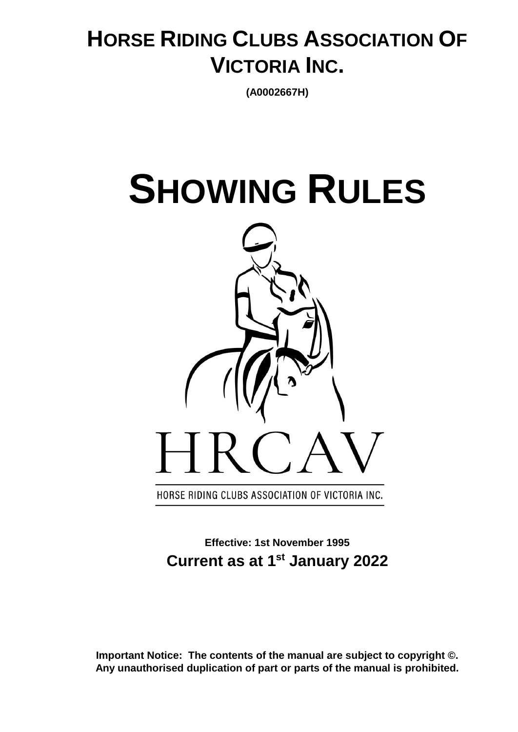## **HORSE RIDING CLUBS ASSOCIATION OF VICTORIA INC.**

**(A0002667H)**

# **SHOWING RULES**



**Effective: 1st November 1995 Current as at 1st January 2022**

**Important Notice: The contents of the manual are subject to copyright ©. Any unauthorised duplication of part or parts of the manual is prohibited.**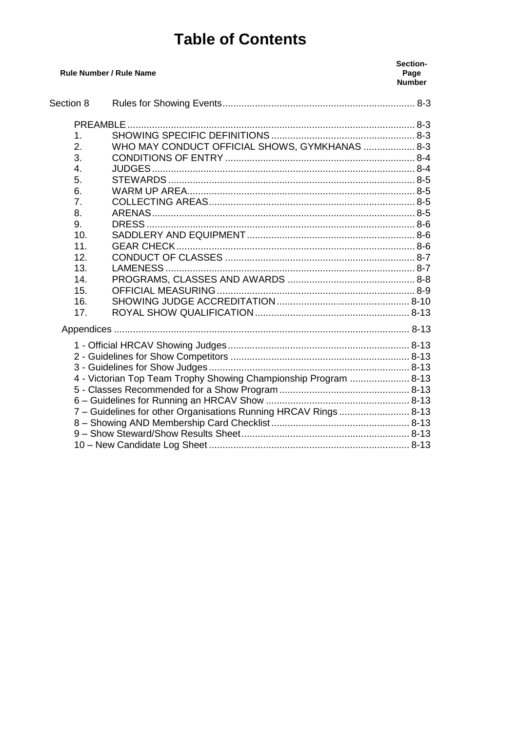## **Table of Contents**

| <b>Rule Number / Rule Name</b>                                   |                                                | Section-<br>Page<br><b>Number</b> |
|------------------------------------------------------------------|------------------------------------------------|-----------------------------------|
| Section 8                                                        |                                                |                                   |
|                                                                  |                                                |                                   |
| 1.                                                               |                                                |                                   |
| 2.                                                               | WHO MAY CONDUCT OFFICIAL SHOWS, GYMKHANAS  8-3 |                                   |
| 3.                                                               |                                                |                                   |
| 4.                                                               |                                                |                                   |
| 5.                                                               |                                                |                                   |
| 6.                                                               |                                                |                                   |
| 7.                                                               |                                                |                                   |
| 8.                                                               |                                                |                                   |
| 9.                                                               |                                                |                                   |
| 10.                                                              |                                                |                                   |
| 11.                                                              |                                                |                                   |
| 12.                                                              |                                                |                                   |
| 13.                                                              |                                                |                                   |
| 14.                                                              |                                                |                                   |
| 15.                                                              |                                                |                                   |
| 16.                                                              |                                                |                                   |
| 17.                                                              |                                                |                                   |
|                                                                  |                                                |                                   |
|                                                                  |                                                |                                   |
|                                                                  |                                                |                                   |
|                                                                  |                                                |                                   |
| 4 - Victorian Top Team Trophy Showing Championship Program  8-13 |                                                |                                   |
|                                                                  |                                                |                                   |
|                                                                  |                                                |                                   |
| 7 - Guidelines for other Organisations Running HRCAV Rings 8-13  |                                                |                                   |
|                                                                  |                                                |                                   |
|                                                                  |                                                |                                   |
|                                                                  |                                                |                                   |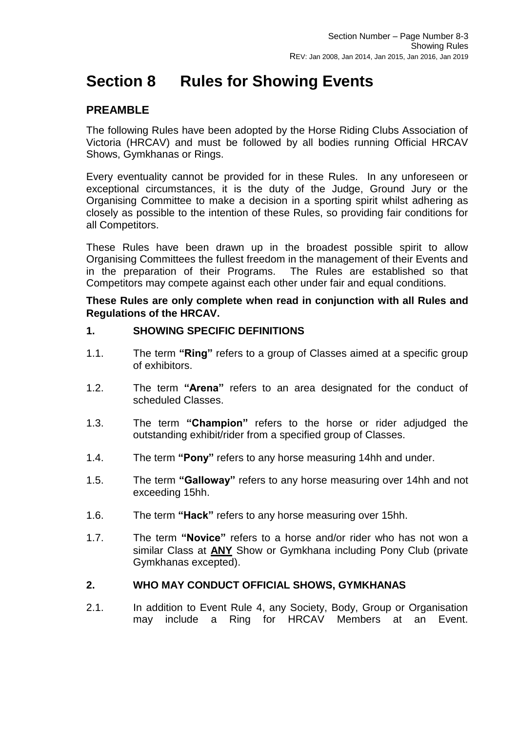## <span id="page-2-0"></span>**Section 8 Rules for Showing Events**

#### <span id="page-2-1"></span>**PREAMBLE**

The following Rules have been adopted by the Horse Riding Clubs Association of Victoria (HRCAV) and must be followed by all bodies running Official HRCAV Shows, Gymkhanas or Rings.

Every eventuality cannot be provided for in these Rules. In any unforeseen or exceptional circumstances, it is the duty of the Judge, Ground Jury or the Organising Committee to make a decision in a sporting spirit whilst adhering as closely as possible to the intention of these Rules, so providing fair conditions for all Competitors.

These Rules have been drawn up in the broadest possible spirit to allow Organising Committees the fullest freedom in the management of their Events and in the preparation of their Programs. The Rules are established so that Competitors may compete against each other under fair and equal conditions.

#### **These Rules are only complete when read in conjunction with all Rules and Regulations of the HRCAV.**

#### <span id="page-2-2"></span>**1. SHOWING SPECIFIC DEFINITIONS**

- 1.1. The term **"Ring"** refers to a group of Classes aimed at a specific group of exhibitors.
- 1.2. The term **"Arena"** refers to an area designated for the conduct of scheduled Classes.
- 1.3. The term **"Champion"** refers to the horse or rider adjudged the outstanding exhibit/rider from a specified group of Classes.
- 1.4. The term **"Pony"** refers to any horse measuring 14hh and under.
- 1.5. The term **"Galloway"** refers to any horse measuring over 14hh and not exceeding 15hh.
- 1.6. The term **"Hack"** refers to any horse measuring over 15hh.
- 1.7. The term **"Novice"** refers to a horse and/or rider who has not won a similar Class at **ANY** Show or Gymkhana including Pony Club (private Gymkhanas excepted).

#### <span id="page-2-3"></span>**2. WHO MAY CONDUCT OFFICIAL SHOWS, GYMKHANAS**

2.1. In addition to Event Rule 4, any Society, Body, Group or Organisation may include a Ring for HRCAV Members at an Event.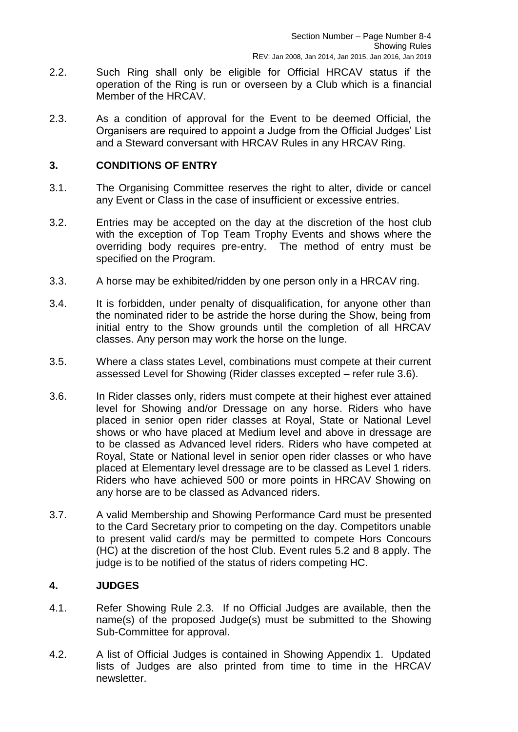- 2.2. Such Ring shall only be eligible for Official HRCAV status if the operation of the Ring is run or overseen by a Club which is a financial Member of the HRCAV.
- 2.3. As a condition of approval for the Event to be deemed Official, the Organisers are required to appoint a Judge from the Official Judges' List and a Steward conversant with HRCAV Rules in any HRCAV Ring.

#### <span id="page-3-0"></span>**3. CONDITIONS OF ENTRY**

- 3.1. The Organising Committee reserves the right to alter, divide or cancel any Event or Class in the case of insufficient or excessive entries.
- 3.2. Entries may be accepted on the day at the discretion of the host club with the exception of Top Team Trophy Events and shows where the overriding body requires pre-entry. The method of entry must be specified on the Program.
- 3.3. A horse may be exhibited/ridden by one person only in a HRCAV ring.
- 3.4. It is forbidden, under penalty of disqualification, for anyone other than the nominated rider to be astride the horse during the Show, being from initial entry to the Show grounds until the completion of all HRCAV classes. Any person may work the horse on the lunge.
- 3.5. Where a class states Level, combinations must compete at their current assessed Level for Showing (Rider classes excepted – refer rule 3.6).
- 3.6. In Rider classes only, riders must compete at their highest ever attained level for Showing and/or Dressage on any horse. Riders who have placed in senior open rider classes at Royal, State or National Level shows or who have placed at Medium level and above in dressage are to be classed as Advanced level riders. Riders who have competed at Royal, State or National level in senior open rider classes or who have placed at Elementary level dressage are to be classed as Level 1 riders. Riders who have achieved 500 or more points in HRCAV Showing on any horse are to be classed as Advanced riders.
- 3.7. A valid Membership and Showing Performance Card must be presented to the Card Secretary prior to competing on the day. Competitors unable to present valid card/s may be permitted to compete Hors Concours (HC) at the discretion of the host Club. Event rules 5.2 and 8 apply. The judge is to be notified of the status of riders competing HC.

#### <span id="page-3-1"></span>**4. JUDGES**

- 4.1. Refer Showing Rule 2.3. If no Official Judges are available, then the name(s) of the proposed Judge(s) must be submitted to the Showing Sub-Committee for approval.
- 4.2. A list of Official Judges is contained in Showing Appendix 1. Updated lists of Judges are also printed from time to time in the HRCAV newsletter.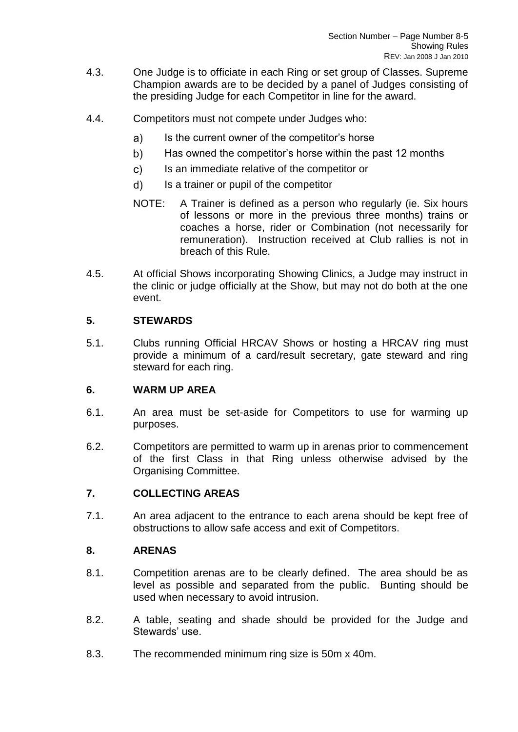- 4.3. One Judge is to officiate in each Ring or set group of Classes. Supreme Champion awards are to be decided by a panel of Judges consisting of the presiding Judge for each Competitor in line for the award.
- 4.4. Competitors must not compete under Judges who:
	- $a)$ Is the current owner of the competitor's horse
	- b) Has owned the competitor's horse within the past 12 months
	- $c)$ Is an immediate relative of the competitor or
	- d) Is a trainer or pupil of the competitor
	- NOTE: A Trainer is defined as a person who regularly (ie. Six hours of lessons or more in the previous three months) trains or coaches a horse, rider or Combination (not necessarily for remuneration). Instruction received at Club rallies is not in breach of this Rule.
- 4.5. At official Shows incorporating Showing Clinics, a Judge may instruct in the clinic or judge officially at the Show, but may not do both at the one event.

#### <span id="page-4-0"></span>**5. STEWARDS**

5.1. Clubs running Official HRCAV Shows or hosting a HRCAV ring must provide a minimum of a card/result secretary, gate steward and ring steward for each ring.

#### <span id="page-4-1"></span>**6. WARM UP AREA**

- 6.1. An area must be set-aside for Competitors to use for warming up purposes.
- 6.2. Competitors are permitted to warm up in arenas prior to commencement of the first Class in that Ring unless otherwise advised by the Organising Committee.

#### <span id="page-4-2"></span>**7. COLLECTING AREAS**

7.1. An area adjacent to the entrance to each arena should be kept free of obstructions to allow safe access and exit of Competitors.

#### <span id="page-4-3"></span>**8. ARENAS**

- 8.1. Competition arenas are to be clearly defined. The area should be as level as possible and separated from the public. Bunting should be used when necessary to avoid intrusion.
- 8.2. A table, seating and shade should be provided for the Judge and Stewards' use.
- 8.3. The recommended minimum ring size is 50m x 40m.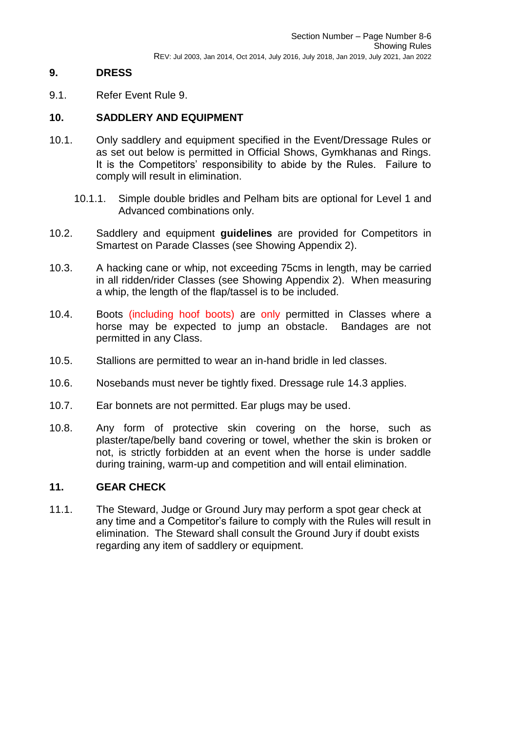#### <span id="page-5-0"></span>**9. DRESS**

9.1. Refer Event Rule 9.

#### <span id="page-5-1"></span>**10. SADDLERY AND EQUIPMENT**

- 10.1. Only saddlery and equipment specified in the Event/Dressage Rules or as set out below is permitted in Official Shows, Gymkhanas and Rings. It is the Competitors' responsibility to abide by the Rules. Failure to comply will result in elimination.
	- 10.1.1. Simple double bridles and Pelham bits are optional for Level 1 and Advanced combinations only.
- 10.2. Saddlery and equipment **guidelines** are provided for Competitors in Smartest on Parade Classes (see Showing Appendix 2).
- 10.3. A hacking cane or whip, not exceeding 75cms in length, may be carried in all ridden/rider Classes (see Showing Appendix 2). When measuring a whip, the length of the flap/tassel is to be included.
- 10.4. Boots (including hoof boots) are only permitted in Classes where a horse may be expected to jump an obstacle. Bandages are not permitted in any Class.
- 10.5. Stallions are permitted to wear an in-hand bridle in led classes.
- 10.6. Nosebands must never be tightly fixed. Dressage rule 14.3 applies.
- 10.7. Ear bonnets are not permitted. Ear plugs may be used.
- 10.8. Any form of protective skin covering on the horse, such as plaster/tape/belly band covering or towel, whether the skin is broken or not, is strictly forbidden at an event when the horse is under saddle during training, warm-up and competition and will entail elimination.

#### <span id="page-5-2"></span>**11. GEAR CHECK**

11.1. The Steward, Judge or Ground Jury may perform a spot gear check at any time and a Competitor's failure to comply with the Rules will result in elimination. The Steward shall consult the Ground Jury if doubt exists regarding any item of saddlery or equipment.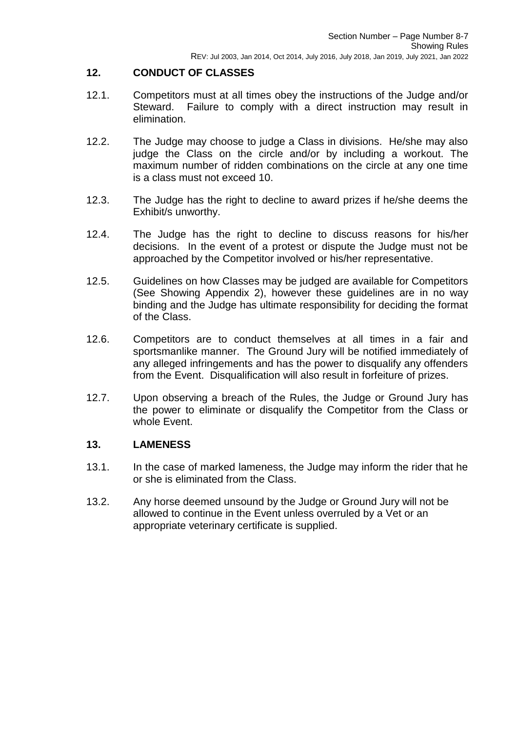#### <span id="page-6-0"></span>**12. CONDUCT OF CLASSES**

- 12.1. Competitors must at all times obey the instructions of the Judge and/or Steward. Failure to comply with a direct instruction may result in elimination.
- 12.2. The Judge may choose to judge a Class in divisions. He/she may also judge the Class on the circle and/or by including a workout. The maximum number of ridden combinations on the circle at any one time is a class must not exceed 10.
- 12.3. The Judge has the right to decline to award prizes if he/she deems the Exhibit/s unworthy.
- 12.4. The Judge has the right to decline to discuss reasons for his/her decisions. In the event of a protest or dispute the Judge must not be approached by the Competitor involved or his/her representative.
- 12.5. Guidelines on how Classes may be judged are available for Competitors (See Showing Appendix 2), however these guidelines are in no way binding and the Judge has ultimate responsibility for deciding the format of the Class.
- 12.6. Competitors are to conduct themselves at all times in a fair and sportsmanlike manner. The Ground Jury will be notified immediately of any alleged infringements and has the power to disqualify any offenders from the Event. Disqualification will also result in forfeiture of prizes.
- 12.7. Upon observing a breach of the Rules, the Judge or Ground Jury has the power to eliminate or disqualify the Competitor from the Class or whole Event.

#### <span id="page-6-1"></span>**13. LAMENESS**

- 13.1. In the case of marked lameness, the Judge may inform the rider that he or she is eliminated from the Class.
- 13.2. Any horse deemed unsound by the Judge or Ground Jury will not be allowed to continue in the Event unless overruled by a Vet or an appropriate veterinary certificate is supplied.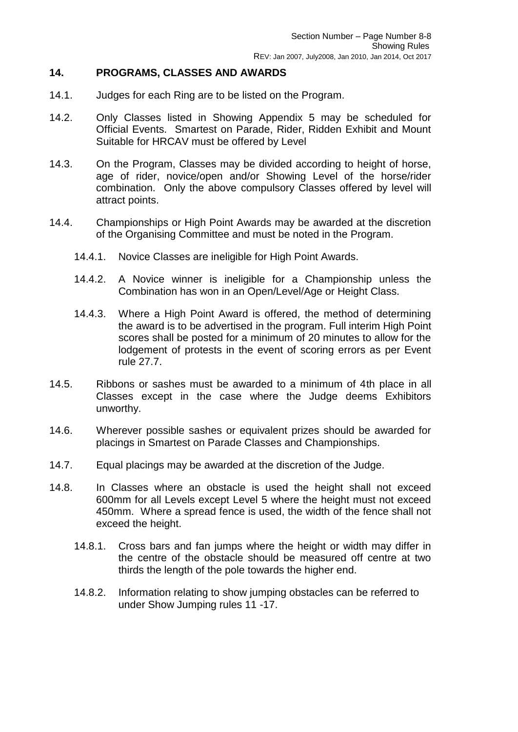#### <span id="page-7-0"></span>**14. PROGRAMS, CLASSES AND AWARDS**

- 14.1. Judges for each Ring are to be listed on the Program.
- 14.2. Only Classes listed in Showing Appendix 5 may be scheduled for Official Events. Smartest on Parade, Rider, Ridden Exhibit and Mount Suitable for HRCAV must be offered by Level
- 14.3. On the Program, Classes may be divided according to height of horse, age of rider, novice/open and/or Showing Level of the horse/rider combination. Only the above compulsory Classes offered by level will attract points.
- 14.4. Championships or High Point Awards may be awarded at the discretion of the Organising Committee and must be noted in the Program.
	- 14.4.1. Novice Classes are ineligible for High Point Awards.
	- 14.4.2. A Novice winner is ineligible for a Championship unless the Combination has won in an Open/Level/Age or Height Class.
	- 14.4.3. Where a High Point Award is offered, the method of determining the award is to be advertised in the program. Full interim High Point scores shall be posted for a minimum of 20 minutes to allow for the lodgement of protests in the event of scoring errors as per Event rule 27.7.
- 14.5. Ribbons or sashes must be awarded to a minimum of 4th place in all Classes except in the case where the Judge deems Exhibitors unworthy.
- 14.6. Wherever possible sashes or equivalent prizes should be awarded for placings in Smartest on Parade Classes and Championships.
- 14.7. Equal placings may be awarded at the discretion of the Judge.
- 14.8. In Classes where an obstacle is used the height shall not exceed 600mm for all Levels except Level 5 where the height must not exceed 450mm. Where a spread fence is used, the width of the fence shall not exceed the height.
	- 14.8.1. Cross bars and fan jumps where the height or width may differ in the centre of the obstacle should be measured off centre at two thirds the length of the pole towards the higher end.
	- 14.8.2. Information relating to show jumping obstacles can be referred to under Show Jumping rules 11 -17.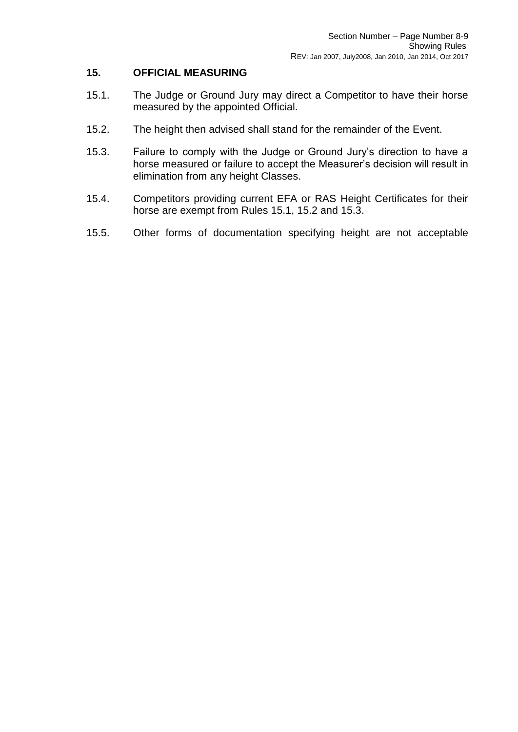#### <span id="page-8-0"></span>**15. OFFICIAL MEASURING**

- 15.1. The Judge or Ground Jury may direct a Competitor to have their horse measured by the appointed Official.
- 15.2. The height then advised shall stand for the remainder of the Event.
- 15.3. Failure to comply with the Judge or Ground Jury's direction to have a horse measured or failure to accept the Measurer's decision will result in elimination from any height Classes.
- 15.4. Competitors providing current EFA or RAS Height Certificates for their horse are exempt from Rules 15.1, 15.2 and 15.3.
- 15.5. Other forms of documentation specifying height are not acceptable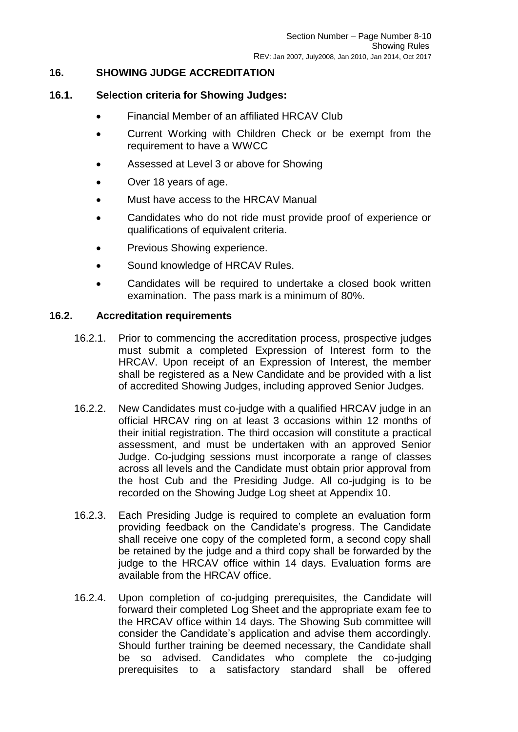#### <span id="page-9-0"></span>**16. SHOWING JUDGE ACCREDITATION**

#### **16.1. Selection criteria for Showing Judges:**

- Financial Member of an affiliated HRCAV Club
- Current Working with Children Check or be exempt from the requirement to have a WWCC
- Assessed at Level 3 or above for Showing
- Over 18 years of age.
- Must have access to the HRCAV Manual
- Candidates who do not ride must provide proof of experience or qualifications of equivalent criteria.
- Previous Showing experience.
- Sound knowledge of HRCAV Rules.
- Candidates will be required to undertake a closed book written examination. The pass mark is a minimum of 80%.

#### **16.2. Accreditation requirements**

- 16.2.1. Prior to commencing the accreditation process, prospective judges must submit a completed Expression of Interest form to the HRCAV. Upon receipt of an Expression of Interest, the member shall be registered as a New Candidate and be provided with a list of accredited Showing Judges, including approved Senior Judges.
- 16.2.2. New Candidates must co-judge with a qualified HRCAV judge in an official HRCAV ring on at least 3 occasions within 12 months of their initial registration. The third occasion will constitute a practical assessment, and must be undertaken with an approved Senior Judge. Co-judging sessions must incorporate a range of classes across all levels and the Candidate must obtain prior approval from the host Cub and the Presiding Judge. All co-judging is to be recorded on the Showing Judge Log sheet at Appendix 10.
- 16.2.3. Each Presiding Judge is required to complete an evaluation form providing feedback on the Candidate's progress. The Candidate shall receive one copy of the completed form, a second copy shall be retained by the judge and a third copy shall be forwarded by the judge to the HRCAV office within 14 days. Evaluation forms are available from the HRCAV office.
- 16.2.4. Upon completion of co-judging prerequisites, the Candidate will forward their completed Log Sheet and the appropriate exam fee to the HRCAV office within 14 days. The Showing Sub committee will consider the Candidate's application and advise them accordingly. Should further training be deemed necessary, the Candidate shall be so advised. Candidates who complete the co-judging prerequisites to a satisfactory standard shall be offered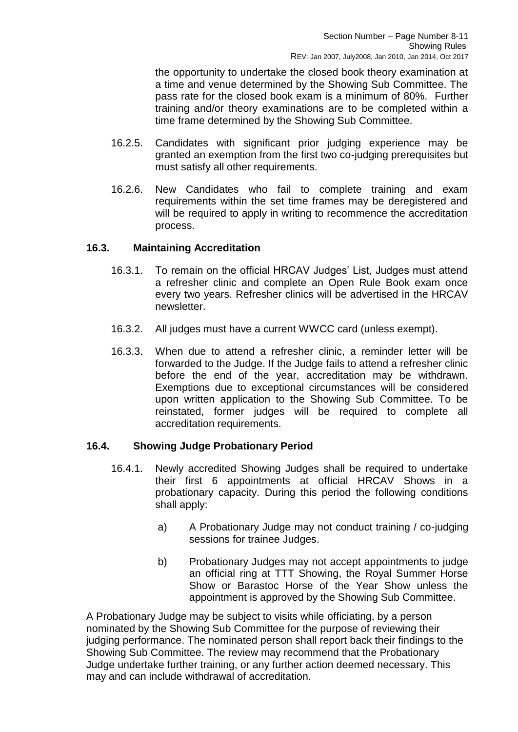the opportunity to undertake the closed book theory examination at a time and venue determined by the Showing Sub Committee. The pass rate for the closed book exam is a minimum of 80%. Further training and/or theory examinations are to be completed within a time frame determined by the Showing Sub Committee.

- 16.2.5. Candidates with significant prior judging experience may be granted an exemption from the first two co-judging prerequisites but must satisfy all other requirements.
- 16.2.6. New Candidates who fail to complete training and exam requirements within the set time frames may be deregistered and will be required to apply in writing to recommence the accreditation process.

#### **16.3. Maintaining Accreditation**

- 16.3.1. To remain on the official HRCAV Judges' List, Judges must attend a refresher clinic and complete an Open Rule Book exam once every two years. Refresher clinics will be advertised in the HRCAV newsletter.
- 16.3.2. All judges must have a current WWCC card (unless exempt).
- 16.3.3. When due to attend a refresher clinic, a reminder letter will be forwarded to the Judge. If the Judge fails to attend a refresher clinic before the end of the year, accreditation may be withdrawn. Exemptions due to exceptional circumstances will be considered upon written application to the Showing Sub Committee. To be reinstated, former judges will be required to complete all accreditation requirements.

#### **16.4. Showing Judge Probationary Period**

- 16.4.1. Newly accredited Showing Judges shall be required to undertake their first 6 appointments at official HRCAV Shows in a probationary capacity. During this period the following conditions shall apply:
	- a) A Probationary Judge may not conduct training / co-judging sessions for trainee Judges.
	- b) Probationary Judges may not accept appointments to judge an official ring at TTT Showing, the Royal Summer Horse Show or Barastoc Horse of the Year Show unless the appointment is approved by the Showing Sub Committee.

A Probationary Judge may be subject to visits while officiating, by a person nominated by the Showing Sub Committee for the purpose of reviewing their judging performance. The nominated person shall report back their findings to the Showing Sub Committee. The review may recommend that the Probationary Judge undertake further training, or any further action deemed necessary. This may and can include withdrawal of accreditation.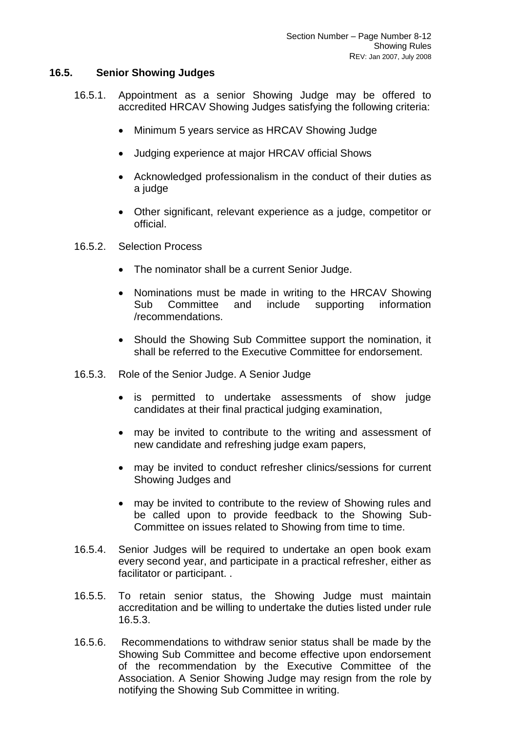#### **16.5. Senior Showing Judges**

- 16.5.1. Appointment as a senior Showing Judge may be offered to accredited HRCAV Showing Judges satisfying the following criteria:
	- Minimum 5 years service as HRCAV Showing Judge
	- Judging experience at major HRCAV official Shows
	- Acknowledged professionalism in the conduct of their duties as a judge
	- Other significant, relevant experience as a judge, competitor or official.
- 16.5.2. Selection Process
	- The nominator shall be a current Senior Judge.
	- Nominations must be made in writing to the HRCAV Showing Sub Committee and include supporting information /recommendations.
	- Should the Showing Sub Committee support the nomination, it shall be referred to the Executive Committee for endorsement.
- 16.5.3. Role of the Senior Judge. A Senior Judge
	- is permitted to undertake assessments of show judge candidates at their final practical judging examination,
	- may be invited to contribute to the writing and assessment of new candidate and refreshing judge exam papers,
	- may be invited to conduct refresher clinics/sessions for current Showing Judges and
	- may be invited to contribute to the review of Showing rules and be called upon to provide feedback to the Showing Sub-Committee on issues related to Showing from time to time.
- 16.5.4. Senior Judges will be required to undertake an open book exam every second year, and participate in a practical refresher, either as facilitator or participant. .
- 16.5.5. To retain senior status, the Showing Judge must maintain accreditation and be willing to undertake the duties listed under rule 16.5.3.
- 16.5.6. Recommendations to withdraw senior status shall be made by the Showing Sub Committee and become effective upon endorsement of the recommendation by the Executive Committee of the Association. A Senior Showing Judge may resign from the role by notifying the Showing Sub Committee in writing.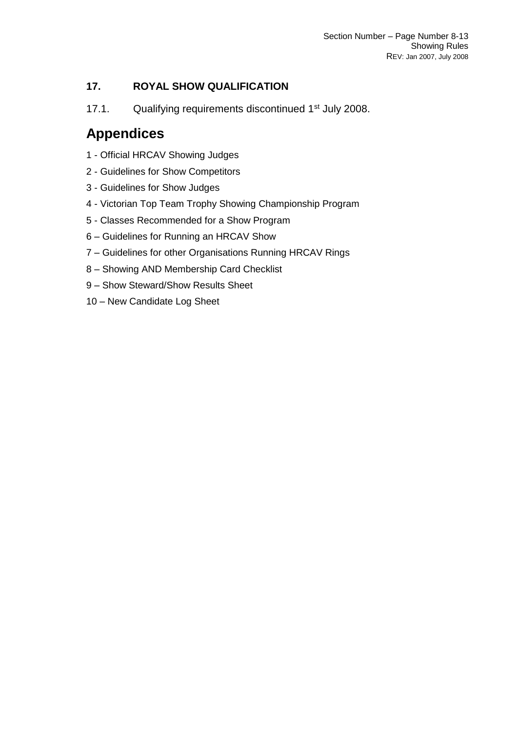#### <span id="page-12-0"></span>**17. ROYAL SHOW QUALIFICATION**

17.1. Qualifying requirements discontinued 1<sup>st</sup> July 2008.

### <span id="page-12-1"></span>**Appendices**

- <span id="page-12-2"></span>1 - Official HRCAV Showing Judges
- <span id="page-12-3"></span>2 - Guidelines for Show Competitors
- <span id="page-12-4"></span>3 - Guidelines for Show Judges
- <span id="page-12-5"></span>4 - Victorian Top Team Trophy Showing Championship Program
- <span id="page-12-6"></span>5 - Classes Recommended for a Show Program
- <span id="page-12-7"></span>6 – Guidelines for Running an HRCAV Show
- <span id="page-12-8"></span>7 – Guidelines for other Organisations Running HRCAV Rings
- <span id="page-12-9"></span>8 – Showing AND Membership Card Checklist
- <span id="page-12-10"></span>9 – Show Steward/Show Results Sheet
- <span id="page-12-11"></span>10 – New Candidate Log Sheet